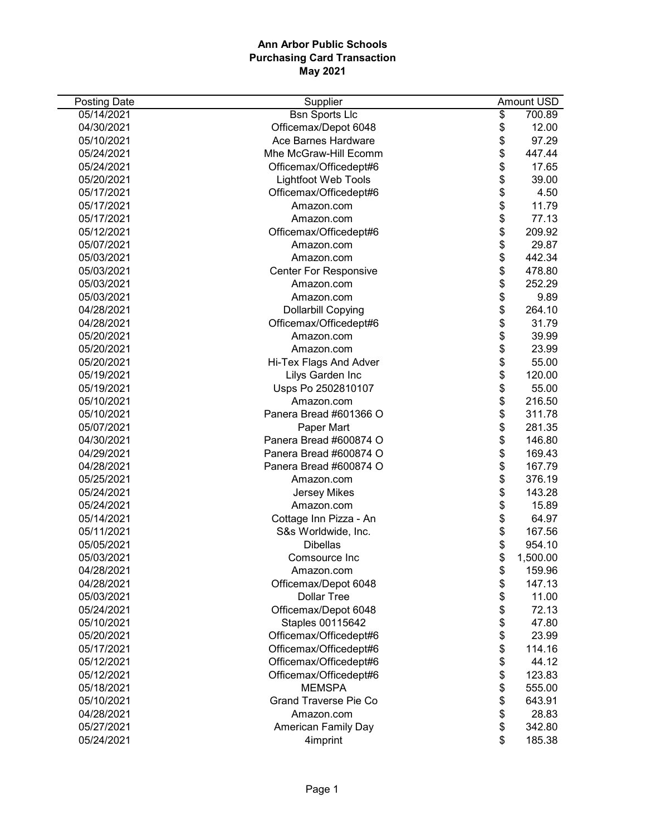| <b>Posting Date</b> | Supplier                     | Amount USD     |
|---------------------|------------------------------|----------------|
| 05/14/2021          | <b>Bsn Sports Llc</b>        | \$<br>700.89   |
| 04/30/2021          | Officemax/Depot 6048         | \$<br>12.00    |
| 05/10/2021          | Ace Barnes Hardware          | \$<br>97.29    |
| 05/24/2021          | Mhe McGraw-Hill Ecomm        | \$<br>447.44   |
| 05/24/2021          | Officemax/Officedept#6       | \$<br>17.65    |
| 05/20/2021          | <b>Lightfoot Web Tools</b>   | \$<br>39.00    |
| 05/17/2021          | Officemax/Officedept#6       | \$<br>4.50     |
| 05/17/2021          | Amazon.com                   | \$<br>11.79    |
| 05/17/2021          | Amazon.com                   | \$<br>77.13    |
| 05/12/2021          | Officemax/Officedept#6       | \$<br>209.92   |
| 05/07/2021          | Amazon.com                   | \$<br>29.87    |
| 05/03/2021          | Amazon.com                   | \$<br>442.34   |
| 05/03/2021          | <b>Center For Responsive</b> | \$<br>478.80   |
| 05/03/2021          | Amazon.com                   | \$<br>252.29   |
| 05/03/2021          | Amazon.com                   | \$<br>9.89     |
| 04/28/2021          | <b>Dollarbill Copying</b>    | \$<br>264.10   |
| 04/28/2021          | Officemax/Officedept#6       | \$<br>31.79    |
| 05/20/2021          | Amazon.com                   | \$<br>39.99    |
| 05/20/2021          | Amazon.com                   | \$<br>23.99    |
| 05/20/2021          | Hi-Tex Flags And Adver       | \$<br>55.00    |
| 05/19/2021          | Lilys Garden Inc             | \$<br>120.00   |
| 05/19/2021          | Usps Po 2502810107           | \$<br>55.00    |
| 05/10/2021          | Amazon.com                   | \$<br>216.50   |
| 05/10/2021          | Panera Bread #601366 O       | \$<br>311.78   |
| 05/07/2021          | Paper Mart                   | \$<br>281.35   |
| 04/30/2021          | Panera Bread #600874 O       | \$<br>146.80   |
| 04/29/2021          | Panera Bread #600874 O       | \$<br>169.43   |
| 04/28/2021          | Panera Bread #600874 O       | \$<br>167.79   |
| 05/25/2021          | Amazon.com                   | \$<br>376.19   |
| 05/24/2021          | <b>Jersey Mikes</b>          | \$<br>143.28   |
| 05/24/2021          | Amazon.com                   | \$<br>15.89    |
| 05/14/2021          | Cottage Inn Pizza - An       | \$<br>64.97    |
| 05/11/2021          | S&s Worldwide, Inc.          | \$<br>167.56   |
| 05/05/2021          | <b>Dibellas</b>              | \$<br>954.10   |
| 05/03/2021          | Comsource Inc                | \$<br>1,500.00 |
| 04/28/2021          | Amazon.com                   | \$<br>159.96   |
| 04/28/2021          | Officemax/Depot 6048         | \$<br>147.13   |
| 05/03/2021          | <b>Dollar Tree</b>           | \$<br>11.00    |
| 05/24/2021          | Officemax/Depot 6048         | \$<br>72.13    |
| 05/10/2021          | Staples 00115642             | \$<br>47.80    |
| 05/20/2021          | Officemax/Officedept#6       | \$<br>23.99    |
| 05/17/2021          | Officemax/Officedept#6       | \$<br>114.16   |
| 05/12/2021          | Officemax/Officedept#6       | \$<br>44.12    |
| 05/12/2021          | Officemax/Officedept#6       | \$<br>123.83   |
| 05/18/2021          | <b>MEMSPA</b>                | \$<br>555.00   |
| 05/10/2021          | <b>Grand Traverse Pie Co</b> | \$<br>643.91   |
| 04/28/2021          | Amazon.com                   | \$<br>28.83    |
| 05/27/2021          | <b>American Family Day</b>   | \$<br>342.80   |
| 05/24/2021          | 4imprint                     | \$<br>185.38   |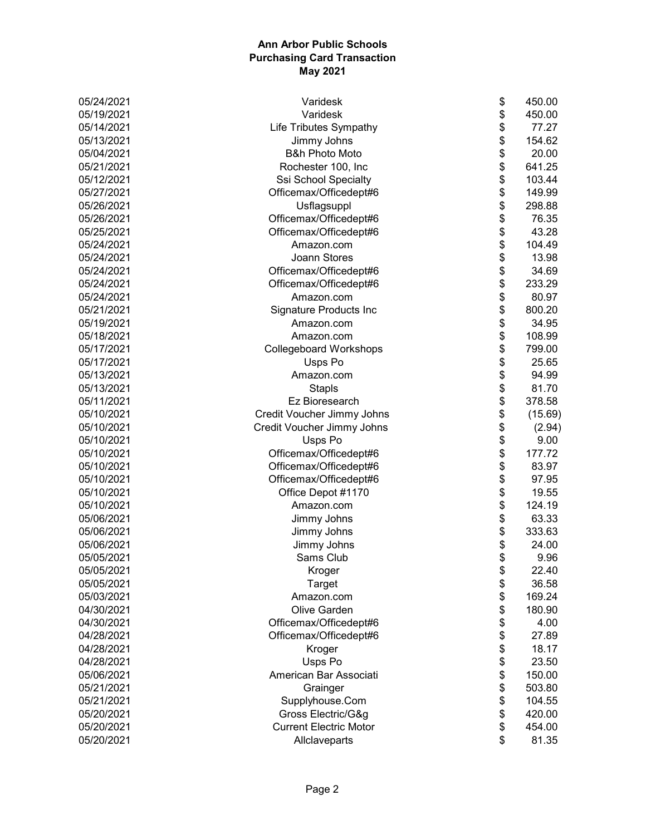| 05/24/2021 | Varidesk                      | \$<br>450.00  |
|------------|-------------------------------|---------------|
| 05/19/2021 | Varidesk                      | \$<br>450.00  |
| 05/14/2021 | <b>Life Tributes Sympathy</b> | \$<br>77.27   |
| 05/13/2021 | Jimmy Johns                   | \$<br>154.62  |
| 05/04/2021 | <b>B&amp;h Photo Moto</b>     | \$<br>20.00   |
| 05/21/2021 | Rochester 100, Inc            | \$<br>641.25  |
| 05/12/2021 | Ssi School Specialty          | \$<br>103.44  |
| 05/27/2021 | Officemax/Officedept#6        | \$<br>149.99  |
| 05/26/2021 | Usflagsuppl                   | \$<br>298.88  |
| 05/26/2021 | Officemax/Officedept#6        | \$<br>76.35   |
| 05/25/2021 | Officemax/Officedept#6        | \$<br>43.28   |
| 05/24/2021 | Amazon.com                    | \$<br>104.49  |
| 05/24/2021 | <b>Joann Stores</b>           | \$<br>13.98   |
| 05/24/2021 | Officemax/Officedept#6        | \$<br>34.69   |
| 05/24/2021 | Officemax/Officedept#6        | \$<br>233.29  |
| 05/24/2021 | Amazon.com                    | \$<br>80.97   |
| 05/21/2021 | Signature Products Inc        | \$<br>800.20  |
| 05/19/2021 | Amazon.com                    | \$<br>34.95   |
| 05/18/2021 | Amazon.com                    | \$<br>108.99  |
| 05/17/2021 | <b>Collegeboard Workshops</b> | \$<br>799.00  |
| 05/17/2021 | Usps Po                       | \$<br>25.65   |
| 05/13/2021 | Amazon.com                    | \$<br>94.99   |
| 05/13/2021 | Stapls                        | \$<br>81.70   |
| 05/11/2021 | Ez Bioresearch                | \$<br>378.58  |
| 05/10/2021 | Credit Voucher Jimmy Johns    | \$<br>(15.69) |
| 05/10/2021 | Credit Voucher Jimmy Johns    | \$<br>(2.94)  |
| 05/10/2021 | Usps Po                       | \$<br>9.00    |
| 05/10/2021 | Officemax/Officedept#6        | \$<br>177.72  |
| 05/10/2021 | Officemax/Officedept#6        | \$<br>83.97   |
| 05/10/2021 | Officemax/Officedept#6        | \$<br>97.95   |
| 05/10/2021 | Office Depot #1170            | \$<br>19.55   |
| 05/10/2021 | Amazon.com                    | \$<br>124.19  |
| 05/06/2021 | Jimmy Johns                   | \$<br>63.33   |
| 05/06/2021 | Jimmy Johns                   | \$<br>333.63  |
| 05/06/2021 | Jimmy Johns                   | \$<br>24.00   |
| 05/05/2021 | Sams Club                     | \$<br>9.96    |
| 05/05/2021 | Kroger                        | \$<br>22.40   |
| 05/05/2021 | Target                        | \$<br>36.58   |
| 05/03/2021 | Amazon.com                    | \$<br>169.24  |
| 04/30/2021 | Olive Garden                  | \$<br>180.90  |
| 04/30/2021 | Officemax/Officedept#6        | \$<br>4.00    |
| 04/28/2021 | Officemax/Officedept#6        | \$<br>27.89   |
| 04/28/2021 | Kroger                        | \$<br>18.17   |
| 04/28/2021 | Usps Po                       | \$<br>23.50   |
| 05/06/2021 | American Bar Associati        | \$<br>150.00  |
| 05/21/2021 | Grainger                      | \$<br>503.80  |
| 05/21/2021 | Supplyhouse.Com               | \$<br>104.55  |
| 05/20/2021 | Gross Electric/G&g            | \$<br>420.00  |
| 05/20/2021 | <b>Current Electric Motor</b> | \$<br>454.00  |
| 05/20/2021 | Allclaveparts                 | \$<br>81.35   |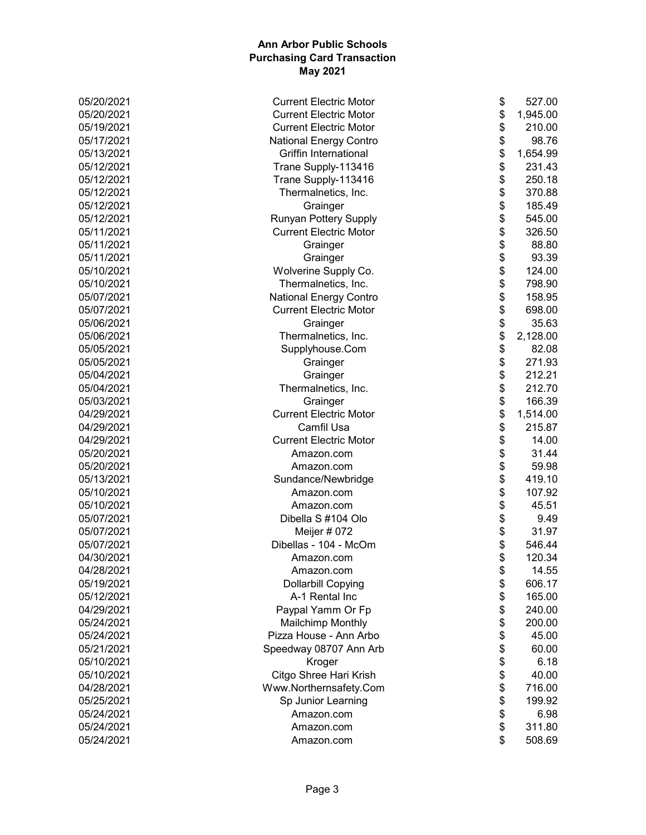| 05/20/2021 | \$<br><b>Current Electric Motor</b>       | 527.00   |
|------------|-------------------------------------------|----------|
| 05/20/2021 | \$<br><b>Current Electric Motor</b>       | 1,945.00 |
| 05/19/2021 | \$<br><b>Current Electric Motor</b>       | 210.00   |
| 05/17/2021 | \$<br><b>National Energy Contro</b>       | 98.76    |
| 05/13/2021 | \$<br><b>Griffin International</b>        | 1,654.99 |
| 05/12/2021 | \$<br>Trane Supply-113416                 | 231.43   |
| 05/12/2021 | \$<br>Trane Supply-113416                 | 250.18   |
| 05/12/2021 | \$<br>Thermalnetics, Inc.                 | 370.88   |
| 05/12/2021 | \$<br>Grainger                            | 185.49   |
| 05/12/2021 | \$<br>Runyan Pottery Supply               | 545.00   |
| 05/11/2021 | \$<br><b>Current Electric Motor</b>       | 326.50   |
| 05/11/2021 | \$<br>Grainger                            | 88.80    |
| 05/11/2021 | \$<br>Grainger                            | 93.39    |
| 05/10/2021 | \$<br>Wolverine Supply Co.                | 124.00   |
| 05/10/2021 | \$<br>Thermalnetics, Inc.                 | 798.90   |
| 05/07/2021 | \$<br>National Energy Contro              | 158.95   |
| 05/07/2021 | \$<br><b>Current Electric Motor</b>       | 698.00   |
| 05/06/2021 | \$<br>Grainger                            | 35.63    |
| 05/06/2021 | \$<br>Thermalnetics, Inc.                 | 2,128.00 |
| 05/05/2021 | \$<br>Supplyhouse.Com                     | 82.08    |
| 05/05/2021 | \$<br>Grainger                            | 271.93   |
| 05/04/2021 | \$<br>Grainger                            | 212.21   |
| 05/04/2021 | \$<br>Thermalnetics, Inc.                 | 212.70   |
| 05/03/2021 | \$                                        | 166.39   |
|            | Grainger<br><b>Current Electric Motor</b> |          |
| 04/29/2021 | \$                                        | 1,514.00 |
| 04/29/2021 | \$<br>Camfil Usa                          | 215.87   |
| 04/29/2021 | \$<br><b>Current Electric Motor</b>       | 14.00    |
| 05/20/2021 | \$<br>Amazon.com                          | 31.44    |
| 05/20/2021 | \$<br>Amazon.com                          | 59.98    |
| 05/13/2021 | \$<br>Sundance/Newbridge                  | 419.10   |
| 05/10/2021 | \$<br>Amazon.com                          | 107.92   |
| 05/10/2021 | \$<br>Amazon.com                          | 45.51    |
| 05/07/2021 | \$<br>Dibella S #104 Olo                  | 9.49     |
| 05/07/2021 | \$<br>Meijer # 072                        | 31.97    |
| 05/07/2021 | \$<br>Dibellas - 104 - McOm               | 546.44   |
| 04/30/2021 | \$<br>Amazon.com                          | 120.34   |
| 04/28/2021 | Amazon.com<br>\$                          | 14.55    |
| 05/19/2021 | \$<br><b>Dollarbill Copying</b>           | 606.17   |
| 05/12/2021 | \$<br>A-1 Rental Inc                      | 165.00   |
| 04/29/2021 | \$<br>Paypal Yamm Or Fp                   | 240.00   |
| 05/24/2021 | \$<br><b>Mailchimp Monthly</b>            | 200.00   |
| 05/24/2021 | \$<br>Pizza House - Ann Arbo              | 45.00    |
| 05/21/2021 | \$<br>Speedway 08707 Ann Arb              | 60.00    |
| 05/10/2021 | \$<br>Kroger                              | 6.18     |
| 05/10/2021 | \$<br>Citgo Shree Hari Krish              | 40.00    |
| 04/28/2021 | \$<br>Www.Northernsafety.Com              | 716.00   |
| 05/25/2021 | \$<br>Sp Junior Learning                  | 199.92   |
| 05/24/2021 | \$<br>Amazon.com                          | 6.98     |
| 05/24/2021 | \$<br>Amazon.com                          | 311.80   |
| 05/24/2021 | \$<br>Amazon.com                          | 508.69   |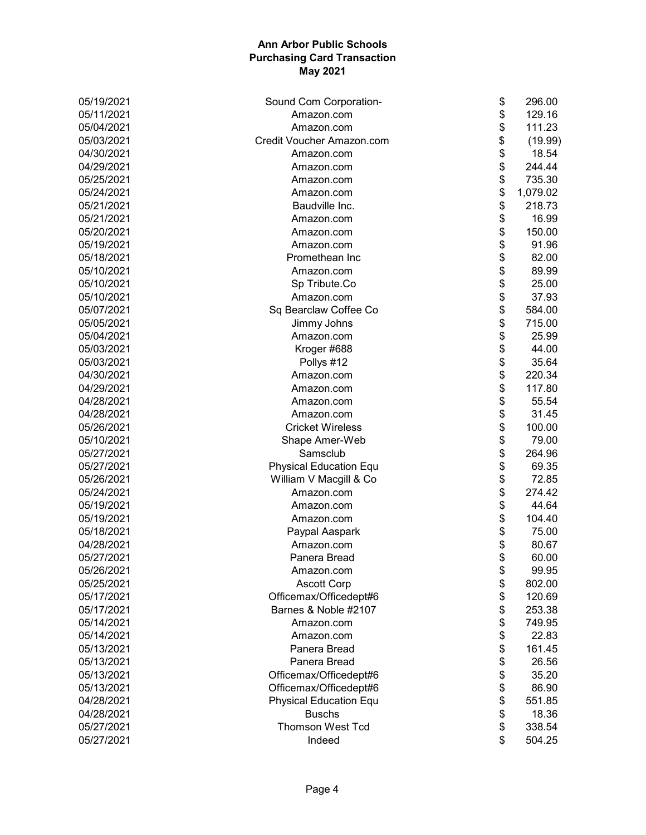| 05/19/2021 | Sound Com Corporation-        | \$<br>296.00   |
|------------|-------------------------------|----------------|
| 05/11/2021 | Amazon.com                    | \$<br>129.16   |
| 05/04/2021 | Amazon.com                    | \$<br>111.23   |
| 05/03/2021 | Credit Voucher Amazon.com     | \$<br>(19.99)  |
| 04/30/2021 | Amazon.com                    | \$<br>18.54    |
| 04/29/2021 | Amazon.com                    | \$<br>244.44   |
| 05/25/2021 | Amazon.com                    | \$<br>735.30   |
| 05/24/2021 | Amazon.com                    | \$<br>1,079.02 |
| 05/21/2021 | Baudville Inc.                | \$<br>218.73   |
| 05/21/2021 | Amazon.com                    | \$<br>16.99    |
| 05/20/2021 | Amazon.com                    | \$<br>150.00   |
| 05/19/2021 | Amazon.com                    | \$<br>91.96    |
| 05/18/2021 | Promethean Inc                | \$<br>82.00    |
| 05/10/2021 | Amazon.com                    | \$<br>89.99    |
| 05/10/2021 | Sp Tribute.Co                 | \$<br>25.00    |
| 05/10/2021 | Amazon.com                    | \$<br>37.93    |
| 05/07/2021 | Sq Bearclaw Coffee Co         | \$<br>584.00   |
| 05/05/2021 | Jimmy Johns                   | \$<br>715.00   |
| 05/04/2021 | Amazon.com                    | \$<br>25.99    |
| 05/03/2021 | Kroger #688                   | \$<br>44.00    |
| 05/03/2021 | Pollys #12                    | \$<br>35.64    |
| 04/30/2021 | Amazon.com                    | \$<br>220.34   |
| 04/29/2021 | Amazon.com                    | \$<br>117.80   |
| 04/28/2021 | Amazon.com                    | \$<br>55.54    |
| 04/28/2021 | Amazon.com                    | \$<br>31.45    |
| 05/26/2021 | <b>Cricket Wireless</b>       | \$<br>100.00   |
| 05/10/2021 | Shape Amer-Web                | \$<br>79.00    |
| 05/27/2021 | Samsclub                      | \$<br>264.96   |
| 05/27/2021 | <b>Physical Education Equ</b> | \$<br>69.35    |
| 05/26/2021 | William V Macgill & Co        | \$<br>72.85    |
| 05/24/2021 | Amazon.com                    | \$<br>274.42   |
| 05/19/2021 | Amazon.com                    | \$<br>44.64    |
| 05/19/2021 | Amazon.com                    | \$<br>104.40   |
| 05/18/2021 | Paypal Aaspark                | \$<br>75.00    |
| 04/28/2021 | Amazon.com                    | \$<br>80.67    |
| 05/27/2021 | Panera Bread                  | \$<br>60.00    |
| 05/26/2021 | Amazon.com                    | \$<br>99.95    |
| 05/25/2021 | <b>Ascott Corp</b>            | \$<br>802.00   |
| 05/17/2021 | Officemax/Officedept#6        | \$<br>120.69   |
| 05/17/2021 | Barnes & Noble #2107          | \$<br>253.38   |
| 05/14/2021 | Amazon.com                    | \$<br>749.95   |
| 05/14/2021 | Amazon.com                    | \$<br>22.83    |
| 05/13/2021 | Panera Bread                  | \$<br>161.45   |
| 05/13/2021 | Panera Bread                  | \$<br>26.56    |
| 05/13/2021 | Officemax/Officedept#6        | \$<br>35.20    |
| 05/13/2021 | Officemax/Officedept#6        | \$<br>86.90    |
| 04/28/2021 | <b>Physical Education Equ</b> | \$<br>551.85   |
| 04/28/2021 | <b>Buschs</b>                 | \$<br>18.36    |
| 05/27/2021 | <b>Thomson West Tcd</b>       | \$<br>338.54   |
| 05/27/2021 | Indeed                        | \$<br>504.25   |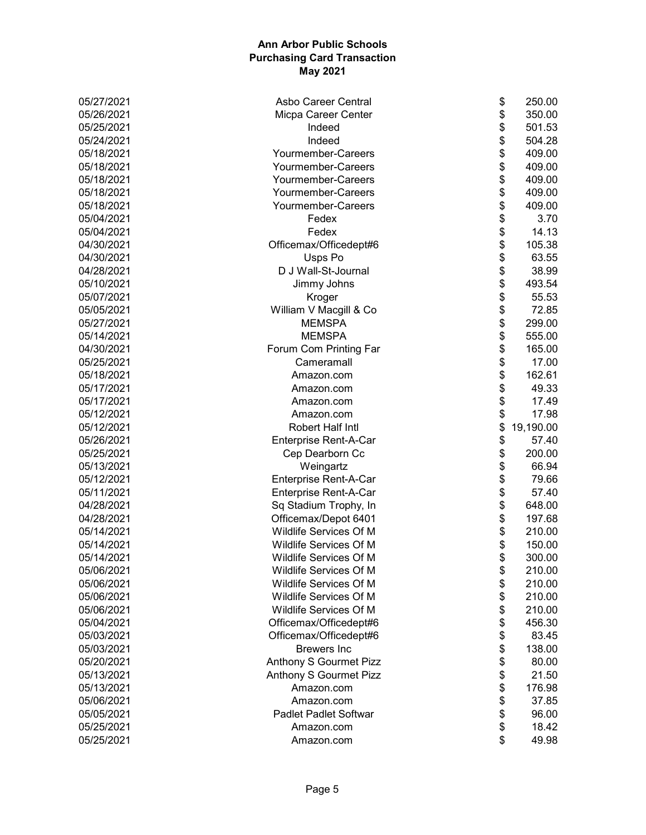| 05/27/2021 | \$<br>Asbo Career Central           | 250.00    |
|------------|-------------------------------------|-----------|
| 05/26/2021 | \$<br>Micpa Career Center           | 350.00    |
| 05/25/2021 | \$<br>Indeed                        | 501.53    |
| 05/24/2021 | \$<br>Indeed                        | 504.28    |
| 05/18/2021 | \$<br>Yourmember-Careers            | 409.00    |
| 05/18/2021 | \$<br>Yourmember-Careers            | 409.00    |
| 05/18/2021 | \$<br>Yourmember-Careers            | 409.00    |
| 05/18/2021 | \$<br>Yourmember-Careers            | 409.00    |
| 05/18/2021 | \$<br>Yourmember-Careers            | 409.00    |
| 05/04/2021 | \$<br>Fedex                         | 3.70      |
| 05/04/2021 | \$<br>Fedex                         | 14.13     |
| 04/30/2021 | \$<br>Officemax/Officedept#6        | 105.38    |
| 04/30/2021 | \$<br>Usps Po                       | 63.55     |
| 04/28/2021 | \$<br>D J Wall-St-Journal           | 38.99     |
| 05/10/2021 | \$<br>Jimmy Johns                   | 493.54    |
| 05/07/2021 | \$<br>Kroger                        | 55.53     |
| 05/05/2021 | \$<br>William V Macgill & Co        | 72.85     |
| 05/27/2021 | \$<br><b>MEMSPA</b>                 | 299.00    |
| 05/14/2021 | \$<br><b>MEMSPA</b>                 | 555.00    |
| 04/30/2021 | \$<br>Forum Com Printing Far        | 165.00    |
| 05/25/2021 | \$<br>Cameramall                    | 17.00     |
| 05/18/2021 | \$<br>Amazon.com                    | 162.61    |
| 05/17/2021 | \$<br>Amazon.com                    | 49.33     |
| 05/17/2021 | \$<br>Amazon.com                    | 17.49     |
| 05/12/2021 | \$<br>Amazon.com                    | 17.98     |
| 05/12/2021 | \$<br>Robert Half Intl              | 19,190.00 |
| 05/26/2021 | \$<br>Enterprise Rent-A-Car         | 57.40     |
| 05/25/2021 | \$<br>Cep Dearborn Cc               | 200.00    |
| 05/13/2021 | \$<br>Weingartz                     | 66.94     |
| 05/12/2021 | \$<br>Enterprise Rent-A-Car         | 79.66     |
| 05/11/2021 | \$<br>Enterprise Rent-A-Car         | 57.40     |
| 04/28/2021 | \$<br>Sq Stadium Trophy, In         | 648.00    |
| 04/28/2021 | \$<br>Officemax/Depot 6401          | 197.68    |
| 05/14/2021 | \$<br>Wildlife Services Of M        | 210.00    |
| 05/14/2021 | Wildlife Services Of M<br>\$        | 150.00    |
| 05/14/2021 | \$<br>Wildlife Services Of M        | 300.00    |
| 05/06/2021 | Wildlife Services Of M<br>\$        | 210.00    |
| 05/06/2021 | \$<br>Wildlife Services Of M        | 210.00    |
| 05/06/2021 | \$<br>Wildlife Services Of M        | 210.00    |
| 05/06/2021 | \$<br>Wildlife Services Of M        | 210.00    |
| 05/04/2021 | \$<br>Officemax/Officedept#6        | 456.30    |
| 05/03/2021 | \$<br>Officemax/Officedept#6        | 83.45     |
| 05/03/2021 | \$<br><b>Brewers</b> Inc            | 138.00    |
| 05/20/2021 | \$<br><b>Anthony S Gourmet Pizz</b> | 80.00     |
| 05/13/2021 | \$<br>Anthony S Gourmet Pizz        | 21.50     |
| 05/13/2021 | \$<br>Amazon.com                    | 176.98    |
| 05/06/2021 | \$<br>Amazon.com                    | 37.85     |
| 05/05/2021 | \$<br><b>Padlet Padlet Softwar</b>  | 96.00     |
| 05/25/2021 | \$<br>Amazon.com                    | 18.42     |
| 05/25/2021 | \$<br>Amazon.com                    | 49.98     |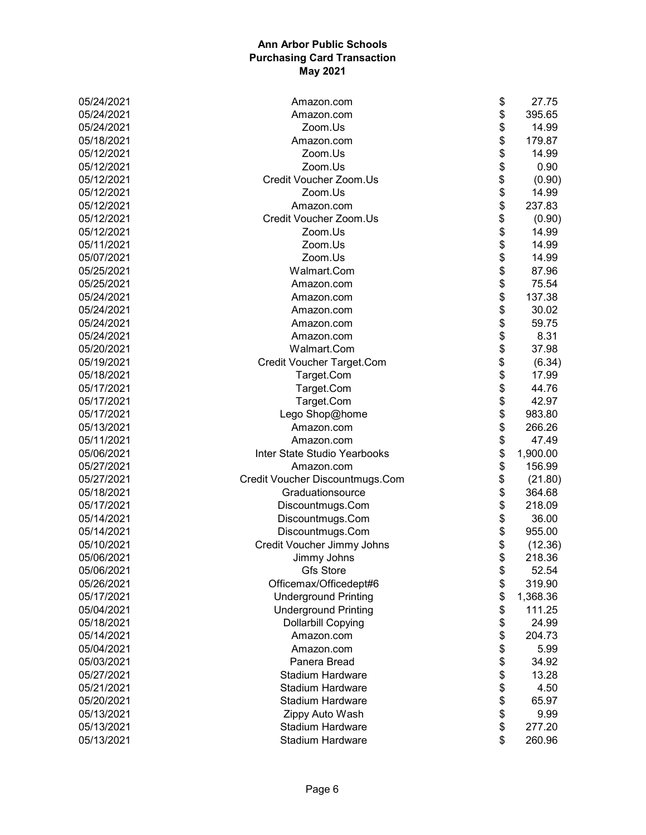| 05/24/2021 | Amazon.com                      | \$<br>27.75    |
|------------|---------------------------------|----------------|
| 05/24/2021 | Amazon.com                      | \$<br>395.65   |
| 05/24/2021 | Zoom.Us                         | \$<br>14.99    |
| 05/18/2021 | Amazon.com                      | \$<br>179.87   |
| 05/12/2021 | Zoom.Us                         | \$<br>14.99    |
| 05/12/2021 | Zoom.Us                         | \$<br>0.90     |
| 05/12/2021 | Credit Voucher Zoom.Us          | \$<br>(0.90)   |
| 05/12/2021 | Zoom.Us                         | \$<br>14.99    |
| 05/12/2021 | Amazon.com                      | \$<br>237.83   |
| 05/12/2021 | Credit Voucher Zoom.Us          | \$<br>(0.90)   |
| 05/12/2021 | Zoom.Us                         | \$<br>14.99    |
| 05/11/2021 | Zoom.Us                         | \$<br>14.99    |
| 05/07/2021 | Zoom.Us                         | \$<br>14.99    |
| 05/25/2021 | Walmart.Com                     | \$<br>87.96    |
| 05/25/2021 | Amazon.com                      | \$<br>75.54    |
| 05/24/2021 | Amazon.com                      | \$<br>137.38   |
| 05/24/2021 | Amazon.com                      | \$<br>30.02    |
| 05/24/2021 | Amazon.com                      | \$<br>59.75    |
| 05/24/2021 | Amazon.com                      | 8.31           |
| 05/20/2021 | Walmart.Com                     | \$<br>37.98    |
| 05/19/2021 | Credit Voucher Target.Com       | \$<br>(6.34)   |
| 05/18/2021 | Target.Com                      | \$<br>17.99    |
| 05/17/2021 | Target.Com                      | \$<br>44.76    |
| 05/17/2021 | Target.Com                      | \$<br>42.97    |
| 05/17/2021 | Lego Shop@home                  | \$<br>983.80   |
| 05/13/2021 | Amazon.com                      | \$<br>266.26   |
| 05/11/2021 | Amazon.com                      | \$<br>47.49    |
| 05/06/2021 | Inter State Studio Yearbooks    | \$<br>1,900.00 |
| 05/27/2021 | Amazon.com                      | \$<br>156.99   |
| 05/27/2021 | Credit Voucher Discountmugs.Com | \$<br>(21.80)  |
| 05/18/2021 | Graduationsource                | \$<br>364.68   |
| 05/17/2021 | Discountmugs.Com                | \$<br>218.09   |
| 05/14/2021 | Discountmugs.Com                | \$<br>36.00    |
| 05/14/2021 | Discountmugs.Com                | \$<br>955.00   |
| 05/10/2021 | Credit Voucher Jimmy Johns      | \$<br>(12.36)  |
| 05/06/2021 | Jimmy Johns                     | \$<br>218.36   |
| 05/06/2021 | <b>Gfs Store</b>                | \$<br>52.54    |
| 05/26/2021 | Officemax/Officedept#6          | \$<br>319.90   |
| 05/17/2021 | <b>Underground Printing</b>     | \$<br>1,368.36 |
| 05/04/2021 | <b>Underground Printing</b>     | \$<br>111.25   |
| 05/18/2021 | <b>Dollarbill Copying</b>       | \$<br>24.99    |
| 05/14/2021 | Amazon.com                      | \$<br>204.73   |
| 05/04/2021 | Amazon.com                      | \$<br>5.99     |
| 05/03/2021 | Panera Bread                    | \$<br>34.92    |
| 05/27/2021 | <b>Stadium Hardware</b>         | \$<br>13.28    |
| 05/21/2021 | <b>Stadium Hardware</b>         | \$<br>4.50     |
| 05/20/2021 | <b>Stadium Hardware</b>         | \$<br>65.97    |
| 05/13/2021 | Zippy Auto Wash                 | \$<br>9.99     |
| 05/13/2021 | <b>Stadium Hardware</b>         | \$<br>277.20   |
| 05/13/2021 | <b>Stadium Hardware</b>         | \$<br>260.96   |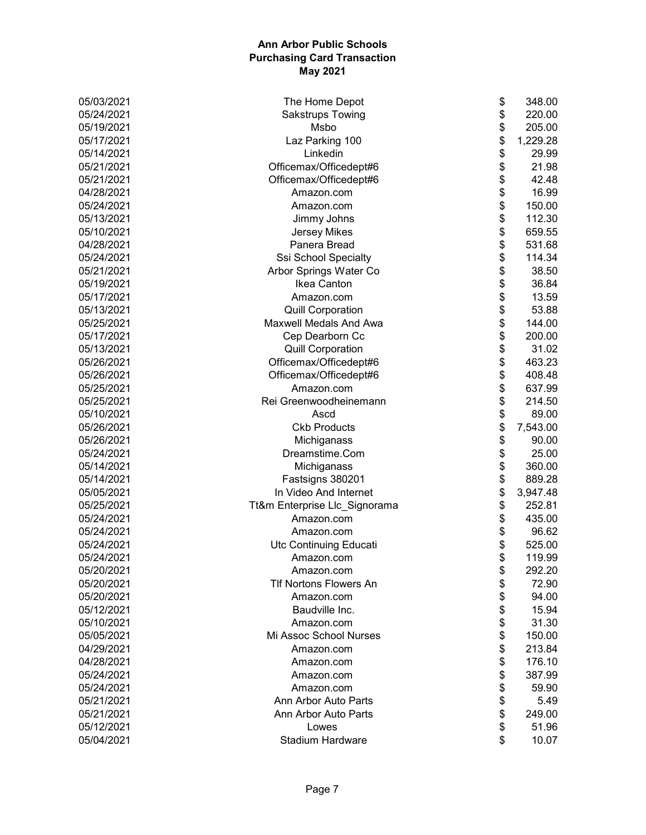| 05/03/2021 | \$<br>The Home Depot                | 348.00   |
|------------|-------------------------------------|----------|
| 05/24/2021 | \$<br><b>Sakstrups Towing</b>       | 220.00   |
| 05/19/2021 | \$<br>Msbo                          | 205.00   |
| 05/17/2021 | \$<br>Laz Parking 100               | 1,229.28 |
| 05/14/2021 | \$<br>Linkedin                      | 29.99    |
| 05/21/2021 | \$<br>Officemax/Officedept#6        | 21.98    |
| 05/21/2021 | \$<br>Officemax/Officedept#6        | 42.48    |
| 04/28/2021 | \$<br>Amazon.com                    | 16.99    |
| 05/24/2021 | \$<br>Amazon.com                    | 150.00   |
| 05/13/2021 | \$<br>Jimmy Johns                   | 112.30   |
| 05/10/2021 | \$<br><b>Jersey Mikes</b>           | 659.55   |
| 04/28/2021 | \$<br>Panera Bread                  | 531.68   |
| 05/24/2021 | \$<br>Ssi School Specialty          | 114.34   |
| 05/21/2021 | \$<br>Arbor Springs Water Co        | 38.50    |
| 05/19/2021 | \$<br>Ikea Canton                   | 36.84    |
| 05/17/2021 | \$<br>Amazon.com                    | 13.59    |
| 05/13/2021 | \$<br><b>Quill Corporation</b>      | 53.88    |
| 05/25/2021 | \$<br><b>Maxwell Medals And Awa</b> | 144.00   |
| 05/17/2021 | \$<br>Cep Dearborn Cc               | 200.00   |
| 05/13/2021 | \$<br><b>Quill Corporation</b>      | 31.02    |
| 05/26/2021 | \$<br>Officemax/Officedept#6        | 463.23   |
| 05/26/2021 | \$<br>Officemax/Officedept#6        | 408.48   |
| 05/25/2021 | \$<br>Amazon.com                    | 637.99   |
| 05/25/2021 | \$<br>Rei Greenwoodheinemann        | 214.50   |
| 05/10/2021 | \$<br>Ascd                          | 89.00    |
| 05/26/2021 | \$<br><b>Ckb Products</b>           | 7,543.00 |
| 05/26/2021 | \$<br>Michiganass                   | 90.00    |
| 05/24/2021 | \$<br>Dreamstime.Com                | 25.00    |
| 05/14/2021 | \$<br>Michiganass                   | 360.00   |
| 05/14/2021 | \$<br>Fastsigns 380201              | 889.28   |
| 05/05/2021 | \$<br>In Video And Internet         | 3,947.48 |
| 05/25/2021 | \$<br>Tt&m Enterprise Llc_Signorama | 252.81   |
| 05/24/2021 | \$<br>Amazon.com                    | 435.00   |
| 05/24/2021 | \$<br>Amazon.com                    | 96.62    |
| 05/24/2021 | \$<br>Utc Continuing Educati        | 525.00   |
| 05/24/2021 | \$<br>Amazon.com                    | 119.99   |
| 05/20/2021 | Amazon.com<br>\$                    | 292.20   |
| 05/20/2021 | \$<br><b>TIf Nortons Flowers An</b> | 72.90    |
| 05/20/2021 | \$<br>Amazon.com                    | 94.00    |
| 05/12/2021 | Baudville Inc.<br>\$                | 15.94    |
| 05/10/2021 | \$<br>Amazon.com                    | 31.30    |
| 05/05/2021 | \$<br>Mi Assoc School Nurses        | 150.00   |
| 04/29/2021 | \$<br>Amazon.com                    | 213.84   |
| 04/28/2021 | \$<br>Amazon.com                    | 176.10   |
| 05/24/2021 | \$<br>Amazon.com                    | 387.99   |
| 05/24/2021 | \$<br>Amazon.com                    | 59.90    |
| 05/21/2021 | \$<br>Ann Arbor Auto Parts          | 5.49     |
| 05/21/2021 | \$<br>Ann Arbor Auto Parts          | 249.00   |
| 05/12/2021 | \$<br>Lowes                         | 51.96    |
| 05/04/2021 | Stadium Hardware<br>\$              | 10.07    |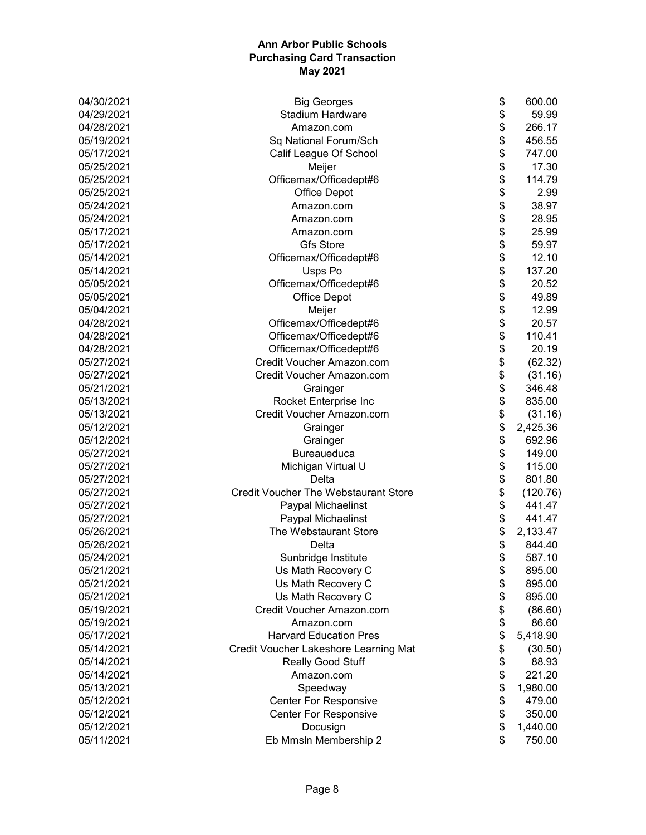| \$<br><b>Stadium Hardware</b><br>04/29/2021<br>59.99<br>\$<br>266.17<br>04/28/2021<br>Amazon.com<br>\$<br>05/19/2021<br>Sq National Forum/Sch<br>456.55<br>\$<br>05/17/2021<br>747.00<br>Calif League Of School<br>\$<br>17.30<br>05/25/2021<br>Meijer<br>\$<br>114.79<br>05/25/2021<br>Officemax/Officedept#6<br>\$<br>05/25/2021<br><b>Office Depot</b><br>2.99<br>\$<br>38.97<br>05/24/2021<br>Amazon.com<br>\$<br>05/24/2021<br>28.95<br>Amazon.com<br>\$<br>25.99<br>05/17/2021<br>Amazon.com<br>\$<br><b>Gfs Store</b><br>05/17/2021<br>59.97<br>\$<br>Officemax/Officedept#6<br>12.10<br>05/14/2021<br>\$<br>137.20<br>05/14/2021<br>Usps Po<br>\$<br>05/05/2021<br>Officemax/Officedept#6<br>20.52<br>\$<br>05/05/2021<br><b>Office Depot</b><br>49.89<br>\$<br>05/04/2021<br>12.99<br>Meijer<br>\$\$<br>04/28/2021<br>Officemax/Officedept#6<br>20.57<br>110.41<br>04/28/2021<br>Officemax/Officedept#6<br>04/28/2021<br>Officemax/Officedept#6<br>20.19<br>\$<br>05/27/2021<br>Credit Voucher Amazon.com<br>(62.32)<br>\$<br>05/27/2021<br>Credit Voucher Amazon.com<br>(31.16)<br>\$<br>05/21/2021<br>346.48<br>Grainger<br>\$<br>Rocket Enterprise Inc<br>05/13/2021<br>835.00<br>\$<br>05/13/2021<br>Credit Voucher Amazon.com<br>(31.16)<br>\$<br>05/12/2021<br>2,425.36<br>Grainger<br>\$<br>05/12/2021<br>692.96<br>Grainger<br>\$<br>05/27/2021<br><b>Bureaueduca</b><br>149.00<br>\$<br>05/27/2021<br>Michigan Virtual U<br>115.00<br>\$<br>05/27/2021<br>Delta<br>801.80<br>\$<br>05/27/2021<br><b>Credit Voucher The Webstaurant Store</b><br>(120.76)<br>\$<br>05/27/2021<br>Paypal Michaelinst<br>441.47<br>\$<br>05/27/2021<br>Paypal Michaelinst<br>441.47<br>\$<br>05/26/2021<br>The Webstaurant Store<br>2,133.47<br>\$<br>05/26/2021<br>844.40<br>Delta<br>\$<br>05/24/2021<br>587.10<br>Sunbridge Institute<br>05/21/2021<br>Us Math Recovery C<br>\$<br>895.00<br>\$<br>05/21/2021<br>Us Math Recovery C<br>895.00<br>\$<br>05/21/2021<br>Us Math Recovery C<br>895.00<br>\$<br>Credit Voucher Amazon.com<br>05/19/2021<br>(86.60)<br>\$<br>05/19/2021<br>Amazon.com<br>86.60<br>\$<br><b>Harvard Education Pres</b><br>5,418.90<br>05/17/2021<br>\$<br>05/14/2021<br>Credit Voucher Lakeshore Learning Mat<br>(30.50)<br>\$<br>05/14/2021<br>Really Good Stuff<br>88.93<br>\$<br>221.20<br>05/14/2021<br>Amazon.com<br>\$<br>05/13/2021<br>Speedway<br>1,980.00<br>\$<br><b>Center For Responsive</b><br>479.00<br>05/12/2021<br>\$<br>350.00<br>05/12/2021<br><b>Center For Responsive</b><br>\$<br>05/12/2021<br>Docusign<br>1,440.00 | 04/30/2021 | <b>Big Georges</b>    | \$<br>600.00 |
|-----------------------------------------------------------------------------------------------------------------------------------------------------------------------------------------------------------------------------------------------------------------------------------------------------------------------------------------------------------------------------------------------------------------------------------------------------------------------------------------------------------------------------------------------------------------------------------------------------------------------------------------------------------------------------------------------------------------------------------------------------------------------------------------------------------------------------------------------------------------------------------------------------------------------------------------------------------------------------------------------------------------------------------------------------------------------------------------------------------------------------------------------------------------------------------------------------------------------------------------------------------------------------------------------------------------------------------------------------------------------------------------------------------------------------------------------------------------------------------------------------------------------------------------------------------------------------------------------------------------------------------------------------------------------------------------------------------------------------------------------------------------------------------------------------------------------------------------------------------------------------------------------------------------------------------------------------------------------------------------------------------------------------------------------------------------------------------------------------------------------------------------------------------------------------------------------------------------------------------------------------------------------------------------------------------------------------------------------------------------------------------------------------------------------------------------------------------------------------------------------------------------------------------------------------------------------|------------|-----------------------|--------------|
|                                                                                                                                                                                                                                                                                                                                                                                                                                                                                                                                                                                                                                                                                                                                                                                                                                                                                                                                                                                                                                                                                                                                                                                                                                                                                                                                                                                                                                                                                                                                                                                                                                                                                                                                                                                                                                                                                                                                                                                                                                                                                                                                                                                                                                                                                                                                                                                                                                                                                                                                                                       |            |                       |              |
|                                                                                                                                                                                                                                                                                                                                                                                                                                                                                                                                                                                                                                                                                                                                                                                                                                                                                                                                                                                                                                                                                                                                                                                                                                                                                                                                                                                                                                                                                                                                                                                                                                                                                                                                                                                                                                                                                                                                                                                                                                                                                                                                                                                                                                                                                                                                                                                                                                                                                                                                                                       |            |                       |              |
|                                                                                                                                                                                                                                                                                                                                                                                                                                                                                                                                                                                                                                                                                                                                                                                                                                                                                                                                                                                                                                                                                                                                                                                                                                                                                                                                                                                                                                                                                                                                                                                                                                                                                                                                                                                                                                                                                                                                                                                                                                                                                                                                                                                                                                                                                                                                                                                                                                                                                                                                                                       |            |                       |              |
|                                                                                                                                                                                                                                                                                                                                                                                                                                                                                                                                                                                                                                                                                                                                                                                                                                                                                                                                                                                                                                                                                                                                                                                                                                                                                                                                                                                                                                                                                                                                                                                                                                                                                                                                                                                                                                                                                                                                                                                                                                                                                                                                                                                                                                                                                                                                                                                                                                                                                                                                                                       |            |                       |              |
|                                                                                                                                                                                                                                                                                                                                                                                                                                                                                                                                                                                                                                                                                                                                                                                                                                                                                                                                                                                                                                                                                                                                                                                                                                                                                                                                                                                                                                                                                                                                                                                                                                                                                                                                                                                                                                                                                                                                                                                                                                                                                                                                                                                                                                                                                                                                                                                                                                                                                                                                                                       |            |                       |              |
|                                                                                                                                                                                                                                                                                                                                                                                                                                                                                                                                                                                                                                                                                                                                                                                                                                                                                                                                                                                                                                                                                                                                                                                                                                                                                                                                                                                                                                                                                                                                                                                                                                                                                                                                                                                                                                                                                                                                                                                                                                                                                                                                                                                                                                                                                                                                                                                                                                                                                                                                                                       |            |                       |              |
|                                                                                                                                                                                                                                                                                                                                                                                                                                                                                                                                                                                                                                                                                                                                                                                                                                                                                                                                                                                                                                                                                                                                                                                                                                                                                                                                                                                                                                                                                                                                                                                                                                                                                                                                                                                                                                                                                                                                                                                                                                                                                                                                                                                                                                                                                                                                                                                                                                                                                                                                                                       |            |                       |              |
|                                                                                                                                                                                                                                                                                                                                                                                                                                                                                                                                                                                                                                                                                                                                                                                                                                                                                                                                                                                                                                                                                                                                                                                                                                                                                                                                                                                                                                                                                                                                                                                                                                                                                                                                                                                                                                                                                                                                                                                                                                                                                                                                                                                                                                                                                                                                                                                                                                                                                                                                                                       |            |                       |              |
|                                                                                                                                                                                                                                                                                                                                                                                                                                                                                                                                                                                                                                                                                                                                                                                                                                                                                                                                                                                                                                                                                                                                                                                                                                                                                                                                                                                                                                                                                                                                                                                                                                                                                                                                                                                                                                                                                                                                                                                                                                                                                                                                                                                                                                                                                                                                                                                                                                                                                                                                                                       |            |                       |              |
|                                                                                                                                                                                                                                                                                                                                                                                                                                                                                                                                                                                                                                                                                                                                                                                                                                                                                                                                                                                                                                                                                                                                                                                                                                                                                                                                                                                                                                                                                                                                                                                                                                                                                                                                                                                                                                                                                                                                                                                                                                                                                                                                                                                                                                                                                                                                                                                                                                                                                                                                                                       |            |                       |              |
|                                                                                                                                                                                                                                                                                                                                                                                                                                                                                                                                                                                                                                                                                                                                                                                                                                                                                                                                                                                                                                                                                                                                                                                                                                                                                                                                                                                                                                                                                                                                                                                                                                                                                                                                                                                                                                                                                                                                                                                                                                                                                                                                                                                                                                                                                                                                                                                                                                                                                                                                                                       |            |                       |              |
|                                                                                                                                                                                                                                                                                                                                                                                                                                                                                                                                                                                                                                                                                                                                                                                                                                                                                                                                                                                                                                                                                                                                                                                                                                                                                                                                                                                                                                                                                                                                                                                                                                                                                                                                                                                                                                                                                                                                                                                                                                                                                                                                                                                                                                                                                                                                                                                                                                                                                                                                                                       |            |                       |              |
|                                                                                                                                                                                                                                                                                                                                                                                                                                                                                                                                                                                                                                                                                                                                                                                                                                                                                                                                                                                                                                                                                                                                                                                                                                                                                                                                                                                                                                                                                                                                                                                                                                                                                                                                                                                                                                                                                                                                                                                                                                                                                                                                                                                                                                                                                                                                                                                                                                                                                                                                                                       |            |                       |              |
|                                                                                                                                                                                                                                                                                                                                                                                                                                                                                                                                                                                                                                                                                                                                                                                                                                                                                                                                                                                                                                                                                                                                                                                                                                                                                                                                                                                                                                                                                                                                                                                                                                                                                                                                                                                                                                                                                                                                                                                                                                                                                                                                                                                                                                                                                                                                                                                                                                                                                                                                                                       |            |                       |              |
|                                                                                                                                                                                                                                                                                                                                                                                                                                                                                                                                                                                                                                                                                                                                                                                                                                                                                                                                                                                                                                                                                                                                                                                                                                                                                                                                                                                                                                                                                                                                                                                                                                                                                                                                                                                                                                                                                                                                                                                                                                                                                                                                                                                                                                                                                                                                                                                                                                                                                                                                                                       |            |                       |              |
|                                                                                                                                                                                                                                                                                                                                                                                                                                                                                                                                                                                                                                                                                                                                                                                                                                                                                                                                                                                                                                                                                                                                                                                                                                                                                                                                                                                                                                                                                                                                                                                                                                                                                                                                                                                                                                                                                                                                                                                                                                                                                                                                                                                                                                                                                                                                                                                                                                                                                                                                                                       |            |                       |              |
|                                                                                                                                                                                                                                                                                                                                                                                                                                                                                                                                                                                                                                                                                                                                                                                                                                                                                                                                                                                                                                                                                                                                                                                                                                                                                                                                                                                                                                                                                                                                                                                                                                                                                                                                                                                                                                                                                                                                                                                                                                                                                                                                                                                                                                                                                                                                                                                                                                                                                                                                                                       |            |                       |              |
|                                                                                                                                                                                                                                                                                                                                                                                                                                                                                                                                                                                                                                                                                                                                                                                                                                                                                                                                                                                                                                                                                                                                                                                                                                                                                                                                                                                                                                                                                                                                                                                                                                                                                                                                                                                                                                                                                                                                                                                                                                                                                                                                                                                                                                                                                                                                                                                                                                                                                                                                                                       |            |                       |              |
|                                                                                                                                                                                                                                                                                                                                                                                                                                                                                                                                                                                                                                                                                                                                                                                                                                                                                                                                                                                                                                                                                                                                                                                                                                                                                                                                                                                                                                                                                                                                                                                                                                                                                                                                                                                                                                                                                                                                                                                                                                                                                                                                                                                                                                                                                                                                                                                                                                                                                                                                                                       |            |                       |              |
|                                                                                                                                                                                                                                                                                                                                                                                                                                                                                                                                                                                                                                                                                                                                                                                                                                                                                                                                                                                                                                                                                                                                                                                                                                                                                                                                                                                                                                                                                                                                                                                                                                                                                                                                                                                                                                                                                                                                                                                                                                                                                                                                                                                                                                                                                                                                                                                                                                                                                                                                                                       |            |                       |              |
|                                                                                                                                                                                                                                                                                                                                                                                                                                                                                                                                                                                                                                                                                                                                                                                                                                                                                                                                                                                                                                                                                                                                                                                                                                                                                                                                                                                                                                                                                                                                                                                                                                                                                                                                                                                                                                                                                                                                                                                                                                                                                                                                                                                                                                                                                                                                                                                                                                                                                                                                                                       |            |                       |              |
|                                                                                                                                                                                                                                                                                                                                                                                                                                                                                                                                                                                                                                                                                                                                                                                                                                                                                                                                                                                                                                                                                                                                                                                                                                                                                                                                                                                                                                                                                                                                                                                                                                                                                                                                                                                                                                                                                                                                                                                                                                                                                                                                                                                                                                                                                                                                                                                                                                                                                                                                                                       |            |                       |              |
|                                                                                                                                                                                                                                                                                                                                                                                                                                                                                                                                                                                                                                                                                                                                                                                                                                                                                                                                                                                                                                                                                                                                                                                                                                                                                                                                                                                                                                                                                                                                                                                                                                                                                                                                                                                                                                                                                                                                                                                                                                                                                                                                                                                                                                                                                                                                                                                                                                                                                                                                                                       |            |                       |              |
|                                                                                                                                                                                                                                                                                                                                                                                                                                                                                                                                                                                                                                                                                                                                                                                                                                                                                                                                                                                                                                                                                                                                                                                                                                                                                                                                                                                                                                                                                                                                                                                                                                                                                                                                                                                                                                                                                                                                                                                                                                                                                                                                                                                                                                                                                                                                                                                                                                                                                                                                                                       |            |                       |              |
|                                                                                                                                                                                                                                                                                                                                                                                                                                                                                                                                                                                                                                                                                                                                                                                                                                                                                                                                                                                                                                                                                                                                                                                                                                                                                                                                                                                                                                                                                                                                                                                                                                                                                                                                                                                                                                                                                                                                                                                                                                                                                                                                                                                                                                                                                                                                                                                                                                                                                                                                                                       |            |                       |              |
|                                                                                                                                                                                                                                                                                                                                                                                                                                                                                                                                                                                                                                                                                                                                                                                                                                                                                                                                                                                                                                                                                                                                                                                                                                                                                                                                                                                                                                                                                                                                                                                                                                                                                                                                                                                                                                                                                                                                                                                                                                                                                                                                                                                                                                                                                                                                                                                                                                                                                                                                                                       |            |                       |              |
|                                                                                                                                                                                                                                                                                                                                                                                                                                                                                                                                                                                                                                                                                                                                                                                                                                                                                                                                                                                                                                                                                                                                                                                                                                                                                                                                                                                                                                                                                                                                                                                                                                                                                                                                                                                                                                                                                                                                                                                                                                                                                                                                                                                                                                                                                                                                                                                                                                                                                                                                                                       |            |                       |              |
|                                                                                                                                                                                                                                                                                                                                                                                                                                                                                                                                                                                                                                                                                                                                                                                                                                                                                                                                                                                                                                                                                                                                                                                                                                                                                                                                                                                                                                                                                                                                                                                                                                                                                                                                                                                                                                                                                                                                                                                                                                                                                                                                                                                                                                                                                                                                                                                                                                                                                                                                                                       |            |                       |              |
|                                                                                                                                                                                                                                                                                                                                                                                                                                                                                                                                                                                                                                                                                                                                                                                                                                                                                                                                                                                                                                                                                                                                                                                                                                                                                                                                                                                                                                                                                                                                                                                                                                                                                                                                                                                                                                                                                                                                                                                                                                                                                                                                                                                                                                                                                                                                                                                                                                                                                                                                                                       |            |                       |              |
|                                                                                                                                                                                                                                                                                                                                                                                                                                                                                                                                                                                                                                                                                                                                                                                                                                                                                                                                                                                                                                                                                                                                                                                                                                                                                                                                                                                                                                                                                                                                                                                                                                                                                                                                                                                                                                                                                                                                                                                                                                                                                                                                                                                                                                                                                                                                                                                                                                                                                                                                                                       |            |                       |              |
|                                                                                                                                                                                                                                                                                                                                                                                                                                                                                                                                                                                                                                                                                                                                                                                                                                                                                                                                                                                                                                                                                                                                                                                                                                                                                                                                                                                                                                                                                                                                                                                                                                                                                                                                                                                                                                                                                                                                                                                                                                                                                                                                                                                                                                                                                                                                                                                                                                                                                                                                                                       |            |                       |              |
|                                                                                                                                                                                                                                                                                                                                                                                                                                                                                                                                                                                                                                                                                                                                                                                                                                                                                                                                                                                                                                                                                                                                                                                                                                                                                                                                                                                                                                                                                                                                                                                                                                                                                                                                                                                                                                                                                                                                                                                                                                                                                                                                                                                                                                                                                                                                                                                                                                                                                                                                                                       |            |                       |              |
|                                                                                                                                                                                                                                                                                                                                                                                                                                                                                                                                                                                                                                                                                                                                                                                                                                                                                                                                                                                                                                                                                                                                                                                                                                                                                                                                                                                                                                                                                                                                                                                                                                                                                                                                                                                                                                                                                                                                                                                                                                                                                                                                                                                                                                                                                                                                                                                                                                                                                                                                                                       |            |                       |              |
|                                                                                                                                                                                                                                                                                                                                                                                                                                                                                                                                                                                                                                                                                                                                                                                                                                                                                                                                                                                                                                                                                                                                                                                                                                                                                                                                                                                                                                                                                                                                                                                                                                                                                                                                                                                                                                                                                                                                                                                                                                                                                                                                                                                                                                                                                                                                                                                                                                                                                                                                                                       |            |                       |              |
|                                                                                                                                                                                                                                                                                                                                                                                                                                                                                                                                                                                                                                                                                                                                                                                                                                                                                                                                                                                                                                                                                                                                                                                                                                                                                                                                                                                                                                                                                                                                                                                                                                                                                                                                                                                                                                                                                                                                                                                                                                                                                                                                                                                                                                                                                                                                                                                                                                                                                                                                                                       |            |                       |              |
|                                                                                                                                                                                                                                                                                                                                                                                                                                                                                                                                                                                                                                                                                                                                                                                                                                                                                                                                                                                                                                                                                                                                                                                                                                                                                                                                                                                                                                                                                                                                                                                                                                                                                                                                                                                                                                                                                                                                                                                                                                                                                                                                                                                                                                                                                                                                                                                                                                                                                                                                                                       |            |                       |              |
|                                                                                                                                                                                                                                                                                                                                                                                                                                                                                                                                                                                                                                                                                                                                                                                                                                                                                                                                                                                                                                                                                                                                                                                                                                                                                                                                                                                                                                                                                                                                                                                                                                                                                                                                                                                                                                                                                                                                                                                                                                                                                                                                                                                                                                                                                                                                                                                                                                                                                                                                                                       |            |                       |              |
|                                                                                                                                                                                                                                                                                                                                                                                                                                                                                                                                                                                                                                                                                                                                                                                                                                                                                                                                                                                                                                                                                                                                                                                                                                                                                                                                                                                                                                                                                                                                                                                                                                                                                                                                                                                                                                                                                                                                                                                                                                                                                                                                                                                                                                                                                                                                                                                                                                                                                                                                                                       |            |                       |              |
|                                                                                                                                                                                                                                                                                                                                                                                                                                                                                                                                                                                                                                                                                                                                                                                                                                                                                                                                                                                                                                                                                                                                                                                                                                                                                                                                                                                                                                                                                                                                                                                                                                                                                                                                                                                                                                                                                                                                                                                                                                                                                                                                                                                                                                                                                                                                                                                                                                                                                                                                                                       |            |                       |              |
|                                                                                                                                                                                                                                                                                                                                                                                                                                                                                                                                                                                                                                                                                                                                                                                                                                                                                                                                                                                                                                                                                                                                                                                                                                                                                                                                                                                                                                                                                                                                                                                                                                                                                                                                                                                                                                                                                                                                                                                                                                                                                                                                                                                                                                                                                                                                                                                                                                                                                                                                                                       |            |                       |              |
|                                                                                                                                                                                                                                                                                                                                                                                                                                                                                                                                                                                                                                                                                                                                                                                                                                                                                                                                                                                                                                                                                                                                                                                                                                                                                                                                                                                                                                                                                                                                                                                                                                                                                                                                                                                                                                                                                                                                                                                                                                                                                                                                                                                                                                                                                                                                                                                                                                                                                                                                                                       |            |                       |              |
|                                                                                                                                                                                                                                                                                                                                                                                                                                                                                                                                                                                                                                                                                                                                                                                                                                                                                                                                                                                                                                                                                                                                                                                                                                                                                                                                                                                                                                                                                                                                                                                                                                                                                                                                                                                                                                                                                                                                                                                                                                                                                                                                                                                                                                                                                                                                                                                                                                                                                                                                                                       |            |                       |              |
|                                                                                                                                                                                                                                                                                                                                                                                                                                                                                                                                                                                                                                                                                                                                                                                                                                                                                                                                                                                                                                                                                                                                                                                                                                                                                                                                                                                                                                                                                                                                                                                                                                                                                                                                                                                                                                                                                                                                                                                                                                                                                                                                                                                                                                                                                                                                                                                                                                                                                                                                                                       |            |                       |              |
|                                                                                                                                                                                                                                                                                                                                                                                                                                                                                                                                                                                                                                                                                                                                                                                                                                                                                                                                                                                                                                                                                                                                                                                                                                                                                                                                                                                                                                                                                                                                                                                                                                                                                                                                                                                                                                                                                                                                                                                                                                                                                                                                                                                                                                                                                                                                                                                                                                                                                                                                                                       |            |                       |              |
|                                                                                                                                                                                                                                                                                                                                                                                                                                                                                                                                                                                                                                                                                                                                                                                                                                                                                                                                                                                                                                                                                                                                                                                                                                                                                                                                                                                                                                                                                                                                                                                                                                                                                                                                                                                                                                                                                                                                                                                                                                                                                                                                                                                                                                                                                                                                                                                                                                                                                                                                                                       |            |                       |              |
|                                                                                                                                                                                                                                                                                                                                                                                                                                                                                                                                                                                                                                                                                                                                                                                                                                                                                                                                                                                                                                                                                                                                                                                                                                                                                                                                                                                                                                                                                                                                                                                                                                                                                                                                                                                                                                                                                                                                                                                                                                                                                                                                                                                                                                                                                                                                                                                                                                                                                                                                                                       |            |                       |              |
|                                                                                                                                                                                                                                                                                                                                                                                                                                                                                                                                                                                                                                                                                                                                                                                                                                                                                                                                                                                                                                                                                                                                                                                                                                                                                                                                                                                                                                                                                                                                                                                                                                                                                                                                                                                                                                                                                                                                                                                                                                                                                                                                                                                                                                                                                                                                                                                                                                                                                                                                                                       |            |                       |              |
|                                                                                                                                                                                                                                                                                                                                                                                                                                                                                                                                                                                                                                                                                                                                                                                                                                                                                                                                                                                                                                                                                                                                                                                                                                                                                                                                                                                                                                                                                                                                                                                                                                                                                                                                                                                                                                                                                                                                                                                                                                                                                                                                                                                                                                                                                                                                                                                                                                                                                                                                                                       |            |                       |              |
|                                                                                                                                                                                                                                                                                                                                                                                                                                                                                                                                                                                                                                                                                                                                                                                                                                                                                                                                                                                                                                                                                                                                                                                                                                                                                                                                                                                                                                                                                                                                                                                                                                                                                                                                                                                                                                                                                                                                                                                                                                                                                                                                                                                                                                                                                                                                                                                                                                                                                                                                                                       | 05/11/2021 | Eb Mmsln Membership 2 | \$<br>750.00 |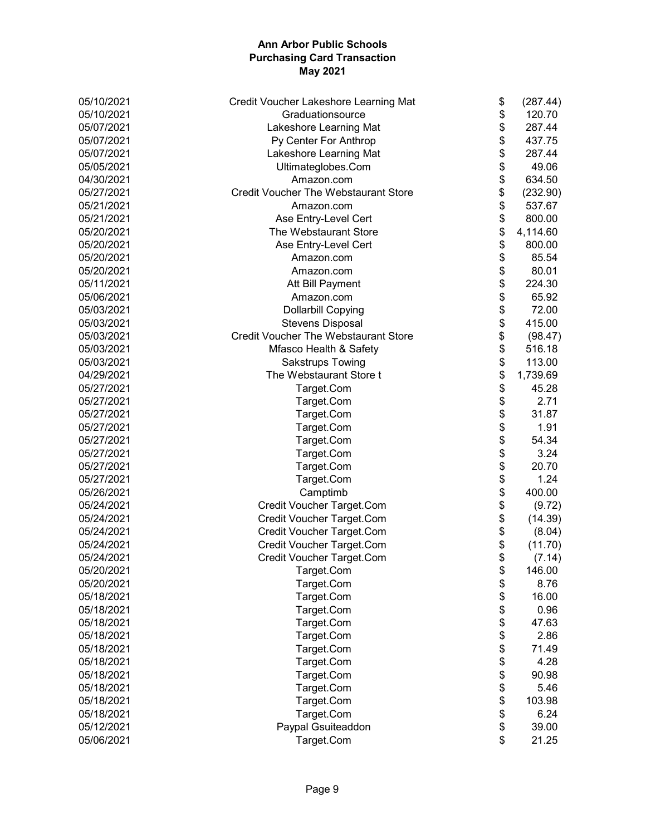| 05/10/2021 | Credit Voucher Lakeshore Learning Mat       | \$<br>(287.44) |
|------------|---------------------------------------------|----------------|
| 05/10/2021 | Graduationsource                            | \$<br>120.70   |
| 05/07/2021 | Lakeshore Learning Mat                      | \$<br>287.44   |
| 05/07/2021 | Py Center For Anthrop                       | \$<br>437.75   |
| 05/07/2021 | Lakeshore Learning Mat                      | \$<br>287.44   |
| 05/05/2021 | Ultimateglobes.Com                          | \$<br>49.06    |
| 04/30/2021 | Amazon.com                                  | \$<br>634.50   |
| 05/27/2021 | <b>Credit Voucher The Webstaurant Store</b> | \$<br>(232.90) |
| 05/21/2021 | Amazon.com                                  | \$<br>537.67   |
| 05/21/2021 | Ase Entry-Level Cert                        | \$<br>800.00   |
| 05/20/2021 | The Webstaurant Store                       | \$<br>4,114.60 |
| 05/20/2021 | Ase Entry-Level Cert                        | \$<br>800.00   |
| 05/20/2021 | Amazon.com                                  | \$<br>85.54    |
| 05/20/2021 | Amazon.com                                  | \$<br>80.01    |
| 05/11/2021 | Att Bill Payment                            | \$<br>224.30   |
| 05/06/2021 | Amazon.com                                  | \$<br>65.92    |
| 05/03/2021 | <b>Dollarbill Copying</b>                   | \$<br>72.00    |
| 05/03/2021 | <b>Stevens Disposal</b>                     | \$<br>415.00   |
| 05/03/2021 | <b>Credit Voucher The Webstaurant Store</b> | \$<br>(98.47)  |
| 05/03/2021 | Mfasco Health & Safety                      | \$<br>516.18   |
| 05/03/2021 | <b>Sakstrups Towing</b>                     | \$<br>113.00   |
| 04/29/2021 | The Webstaurant Store t                     | \$<br>1,739.69 |
| 05/27/2021 |                                             | \$<br>45.28    |
| 05/27/2021 | Target.Com                                  | \$<br>2.71     |
|            | Target.Com                                  |                |
| 05/27/2021 | Target.Com                                  | \$<br>31.87    |
| 05/27/2021 | Target.Com                                  | \$<br>1.91     |
| 05/27/2021 | Target.Com                                  | \$<br>54.34    |
| 05/27/2021 | Target.Com                                  | \$<br>3.24     |
| 05/27/2021 | Target.Com                                  | \$<br>20.70    |
| 05/27/2021 | Target.Com                                  | \$<br>1.24     |
| 05/26/2021 | Camptimb                                    | \$<br>400.00   |
| 05/24/2021 | Credit Voucher Target.Com                   | \$<br>(9.72)   |
| 05/24/2021 | Credit Voucher Target.Com                   | \$<br>(14.39)  |
| 05/24/2021 | Credit Voucher Target.Com                   | \$<br>(8.04)   |
| 05/24/2021 | Credit Voucher Target.Com                   | \$<br>(11.70)  |
| 05/24/2021 | Credit Voucher Target.Com                   | \$<br>(7.14)   |
| 05/20/2021 | Target.Com                                  | \$<br>146.00   |
| 05/20/2021 | Target.Com                                  | \$<br>8.76     |
| 05/18/2021 | Target.Com                                  | 16.00          |
| 05/18/2021 | Target.Com                                  | \$<br>0.96     |
| 05/18/2021 | Target.Com                                  | \$<br>47.63    |
| 05/18/2021 | Target.Com                                  | \$<br>2.86     |
| 05/18/2021 | Target.Com                                  | \$<br>71.49    |
| 05/18/2021 | Target.Com                                  | \$<br>4.28     |
| 05/18/2021 | Target.Com                                  | \$<br>90.98    |
| 05/18/2021 | Target.Com                                  | \$<br>5.46     |
| 05/18/2021 | Target.Com                                  | \$<br>103.98   |
| 05/18/2021 | Target.Com                                  | \$<br>6.24     |
| 05/12/2021 | Paypal Gsuiteaddon                          | \$<br>39.00    |
| 05/06/2021 | Target.Com                                  | \$<br>21.25    |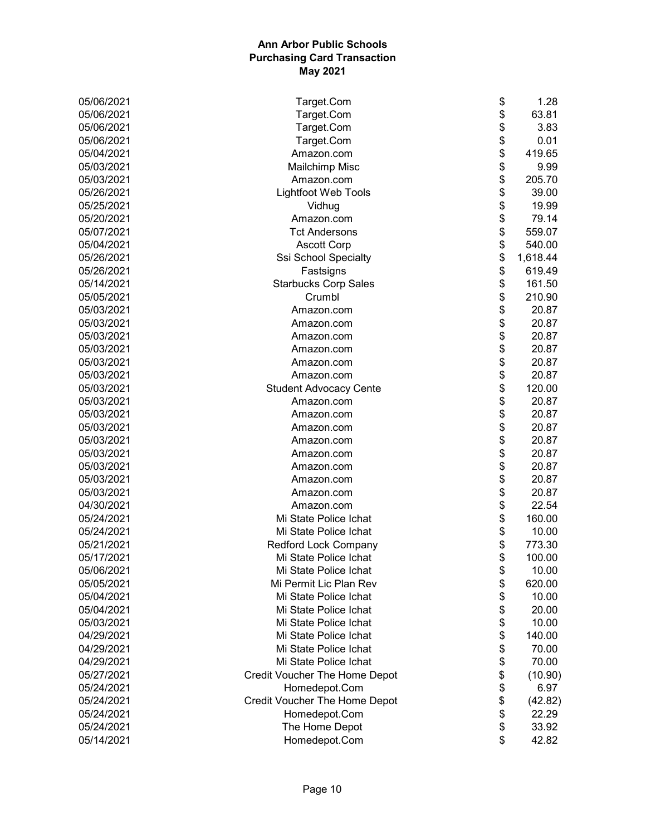| 05/06/2021 | Target.Com                    | \$<br>1.28     |
|------------|-------------------------------|----------------|
| 05/06/2021 | Target.Com                    | \$<br>63.81    |
| 05/06/2021 | Target.Com                    | \$<br>3.83     |
| 05/06/2021 | Target.Com                    | \$<br>0.01     |
| 05/04/2021 | Amazon.com                    | \$<br>419.65   |
| 05/03/2021 | <b>Mailchimp Misc</b>         | \$<br>9.99     |
| 05/03/2021 | Amazon.com                    | \$<br>205.70   |
| 05/26/2021 | <b>Lightfoot Web Tools</b>    | \$<br>39.00    |
| 05/25/2021 | Vidhug                        | \$<br>19.99    |
| 05/20/2021 | Amazon.com                    | \$<br>79.14    |
| 05/07/2021 | <b>Tct Andersons</b>          | \$<br>559.07   |
| 05/04/2021 | <b>Ascott Corp</b>            | \$<br>540.00   |
| 05/26/2021 | Ssi School Specialty          | \$<br>1,618.44 |
| 05/26/2021 | Fastsigns                     | \$<br>619.49   |
| 05/14/2021 | <b>Starbucks Corp Sales</b>   | \$<br>161.50   |
| 05/05/2021 | Crumbl                        | \$<br>210.90   |
| 05/03/2021 | Amazon.com                    | \$<br>20.87    |
| 05/03/2021 | Amazon.com                    | \$<br>20.87    |
| 05/03/2021 | Amazon.com                    | \$<br>20.87    |
| 05/03/2021 | Amazon.com                    | \$<br>20.87    |
| 05/03/2021 | Amazon.com                    | \$<br>20.87    |
| 05/03/2021 | Amazon.com                    | \$<br>20.87    |
| 05/03/2021 | <b>Student Advocacy Cente</b> | \$<br>120.00   |
| 05/03/2021 | Amazon.com                    | \$<br>20.87    |
| 05/03/2021 | Amazon.com                    | \$<br>20.87    |
| 05/03/2021 | Amazon.com                    | \$<br>20.87    |
| 05/03/2021 | Amazon.com                    | \$<br>20.87    |
| 05/03/2021 | Amazon.com                    | \$<br>20.87    |
| 05/03/2021 | Amazon.com                    | \$<br>20.87    |
| 05/03/2021 | Amazon.com                    | \$<br>20.87    |
| 05/03/2021 | Amazon.com                    | \$<br>20.87    |
| 04/30/2021 | Amazon.com                    | \$<br>22.54    |
| 05/24/2021 | Mi State Police Ichat         | \$<br>160.00   |
| 05/24/2021 | Mi State Police Ichat         | \$<br>10.00    |
| 05/21/2021 | Redford Lock Company          | \$<br>773.30   |
| 05/17/2021 | Mi State Police Ichat         | \$<br>100.00   |
| 05/06/2021 | Mi State Police Ichat         | \$<br>10.00    |
| 05/05/2021 | Mi Permit Lic Plan Rev        | \$<br>620.00   |
| 05/04/2021 | Mi State Police Ichat         | \$<br>10.00    |
| 05/04/2021 | Mi State Police Ichat         | \$<br>20.00    |
| 05/03/2021 | Mi State Police Ichat         | \$<br>10.00    |
| 04/29/2021 | Mi State Police Ichat         | \$<br>140.00   |
| 04/29/2021 | Mi State Police Ichat         | \$<br>70.00    |
| 04/29/2021 | Mi State Police Ichat         | \$<br>70.00    |
| 05/27/2021 | Credit Voucher The Home Depot | \$<br>(10.90)  |
| 05/24/2021 | Homedepot.Com                 | \$<br>6.97     |
| 05/24/2021 | Credit Voucher The Home Depot | \$<br>(42.82)  |
| 05/24/2021 | Homedepot.Com                 | \$<br>22.29    |
| 05/24/2021 | The Home Depot                | \$<br>33.92    |
| 05/14/2021 | Homedepot.Com                 | \$<br>42.82    |
|            |                               |                |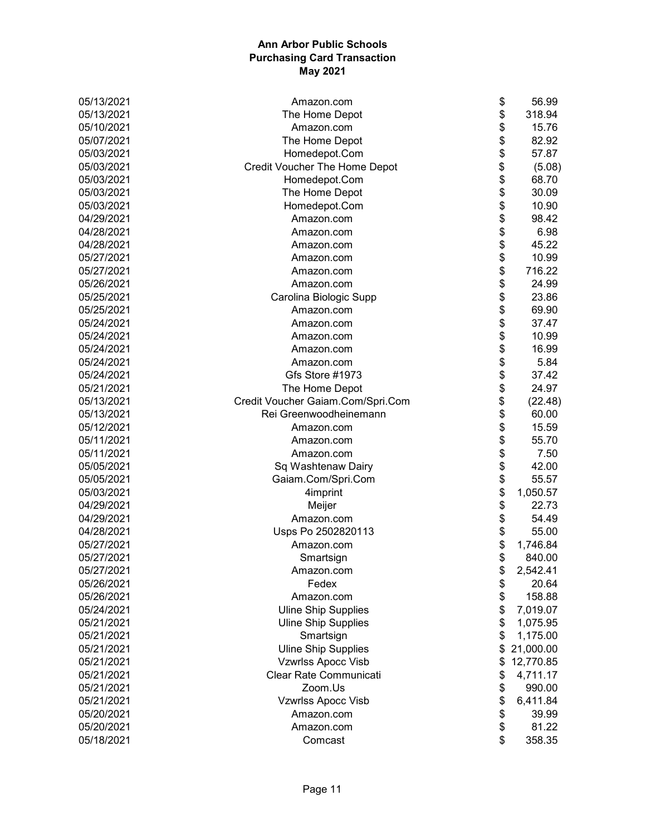| 05/13/2021 | \$<br>Amazon.com                        | 56.99     |
|------------|-----------------------------------------|-----------|
| 05/13/2021 | \$<br>The Home Depot                    | 318.94    |
| 05/10/2021 | \$<br>Amazon.com                        | 15.76     |
| 05/07/2021 | \$<br>The Home Depot                    | 82.92     |
| 05/03/2021 | \$<br>Homedepot.Com                     | 57.87     |
| 05/03/2021 | \$<br>Credit Voucher The Home Depot     | (5.08)    |
| 05/03/2021 | \$<br>Homedepot.Com                     | 68.70     |
| 05/03/2021 | \$<br>The Home Depot                    | 30.09     |
| 05/03/2021 | \$<br>Homedepot.Com                     | 10.90     |
| 04/29/2021 | \$<br>Amazon.com                        | 98.42     |
| 04/28/2021 | \$<br>Amazon.com                        | 6.98      |
| 04/28/2021 | \$<br>Amazon.com                        | 45.22     |
| 05/27/2021 | \$<br>Amazon.com                        | 10.99     |
| 05/27/2021 | \$<br>Amazon.com                        | 716.22    |
| 05/26/2021 | \$<br>Amazon.com                        | 24.99     |
| 05/25/2021 | \$<br>Carolina Biologic Supp            | 23.86     |
| 05/25/2021 | \$<br>Amazon.com                        | 69.90     |
| 05/24/2021 | \$<br>Amazon.com                        | 37.47     |
| 05/24/2021 | \$<br>Amazon.com                        | 10.99     |
| 05/24/2021 | \$<br>Amazon.com                        | 16.99     |
| 05/24/2021 | \$<br>Amazon.com                        | 5.84      |
| 05/24/2021 | \$<br>Gfs Store #1973                   | 37.42     |
| 05/21/2021 | \$<br>The Home Depot                    | 24.97     |
| 05/13/2021 | \$<br>Credit Voucher Gaiam.Com/Spri.Com | (22.48)   |
| 05/13/2021 | \$<br>Rei Greenwoodheinemann            | 60.00     |
| 05/12/2021 | \$<br>Amazon.com                        | 15.59     |
| 05/11/2021 | \$<br>Amazon.com                        | 55.70     |
| 05/11/2021 | \$<br>Amazon.com                        | 7.50      |
| 05/05/2021 | \$<br>Sq Washtenaw Dairy                | 42.00     |
| 05/05/2021 | \$<br>Gaiam.Com/Spri.Com                | 55.57     |
| 05/03/2021 | \$<br>4imprint                          | 1,050.57  |
| 04/29/2021 | \$<br>Meijer                            | 22.73     |
| 04/29/2021 | \$<br>Amazon.com                        | 54.49     |
| 04/28/2021 | \$<br>Usps Po 2502820113                | 55.00     |
| 05/27/2021 | \$<br>Amazon.com                        | 1,746.84  |
| 05/27/2021 | \$<br>Smartsign                         | 840.00    |
| 05/27/2021 | Amazon.com<br>\$                        | 2,542.41  |
| 05/26/2021 | \$<br>Fedex                             | 20.64     |
| 05/26/2021 | \$<br>Amazon.com                        | 158.88    |
| 05/24/2021 | \$<br><b>Uline Ship Supplies</b>        | 7,019.07  |
| 05/21/2021 | \$<br><b>Uline Ship Supplies</b>        | 1,075.95  |
| 05/21/2021 | \$<br>Smartsign                         | 1,175.00  |
| 05/21/2021 | <b>Uline Ship Supplies</b><br>\$        | 21,000.00 |
| 05/21/2021 | Vzwrlss Apocc Visb<br>\$                | 12,770.85 |
| 05/21/2021 | Clear Rate Communicati<br>\$            | 4,711.17  |
| 05/21/2021 | Zoom.Us<br>\$                           | 990.00    |
| 05/21/2021 | \$<br>Vzwrlss Apocc Visb                | 6,411.84  |
| 05/20/2021 | Amazon.com<br>\$                        | 39.99     |
| 05/20/2021 | \$<br>Amazon.com                        | 81.22     |
| 05/18/2021 | \$<br>Comcast                           | 358.35    |